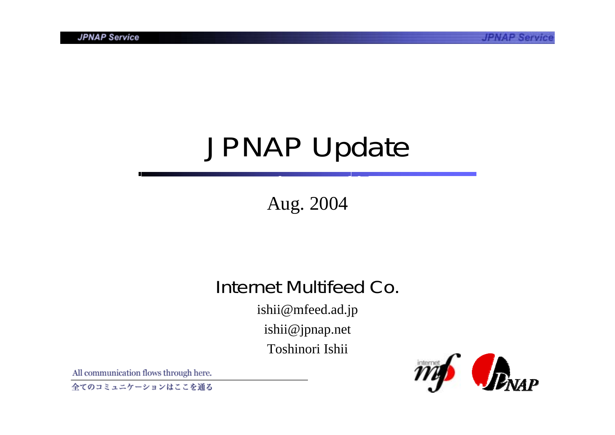# JPNAP Update

### Aug. 2004

### Internet Multifeed Co.

ishii@mfeed.ad.jp ishii@jpnap.net Toshinori Ishii

All communication flows through here.

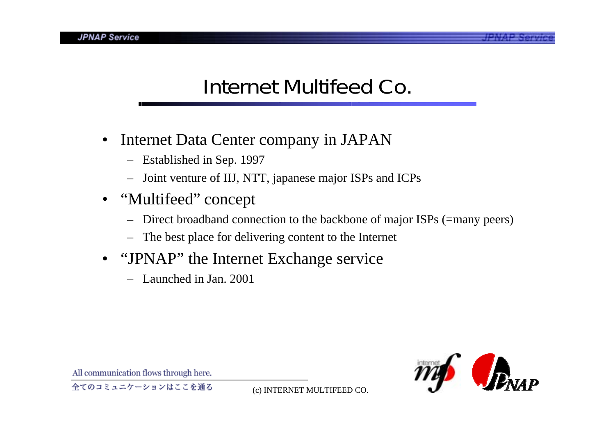## Internet Multifeed Co.

- $\bullet$  Internet Data Center company in JAPAN
	- Established in Sep. 1997
	- –Joint venture of IIJ, NTT, japanese major ISPs and ICPs
- "Multifeed" concep<sup>t</sup>
	- Direct broadband connection to the backbone of major ISPs (=many peers)
	- –The best place for delivering content to the Internet
- "JPNAP" the Internet Exchange service
	- Launched in Jan. 2001

All communication flows through here.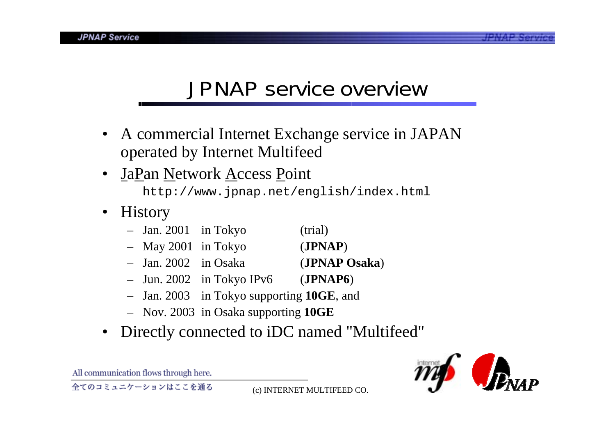### JPNAP service overview

- • A commercial Internet Exchange service in JAPAN operated by Internet Multifeed
- $\bullet$  JaPan Network Access Point http://www.jpnap.net/english/index.html
- • History
	- Jan. 2001 in Tokyo (trial)
	- May 2001 in Tokyo (**JPNAP**)
	- Jan. 2002 in Osaka (**JPNAP Osaka**)
	- Jun. 2002 in Tokyo IPv6 (**JPNAP6**)
	- Jan. 2003 in Tokyo supporting **10GE**, and
	- Nov. 2003 in Osaka supporting **10GE**
- •Directly connected to iDC named "Multifeed"



All communication flows through here.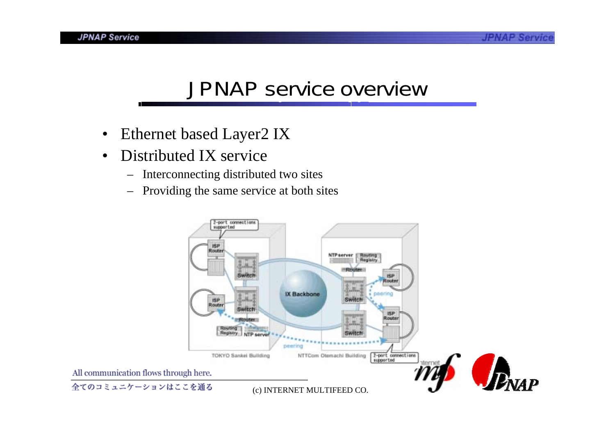### JPNAP service overview

- $\bullet$ Ethernet based Layer2 IX
- • Distributed IX service
	- –Interconnecting distributed two sites
	- –Providing the same service at both sites

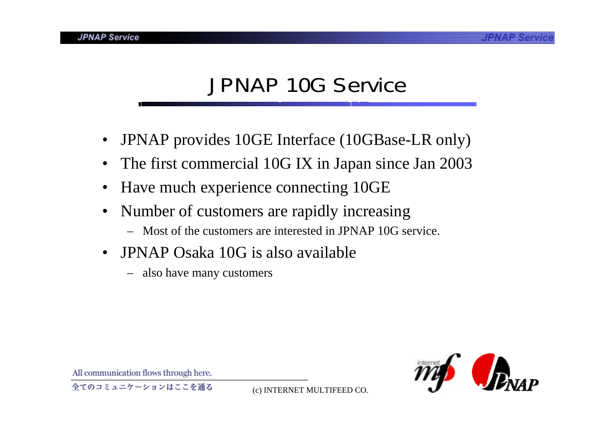### JPNAP 10G Service

- •JPNAP provides 10GE Interface (10GBase-LR only)
- The first commercial 10G IX in Japan since Jan 2003
- •Have much experience connecting 10GE
- $\bullet$  Number of customers are rapidly increasing
	- Most of the customers are interested in JPNAP 10G service.
- $\bullet$  JPNAP Osaka 10G is also available
	- –also have many customers



All communication flows through here.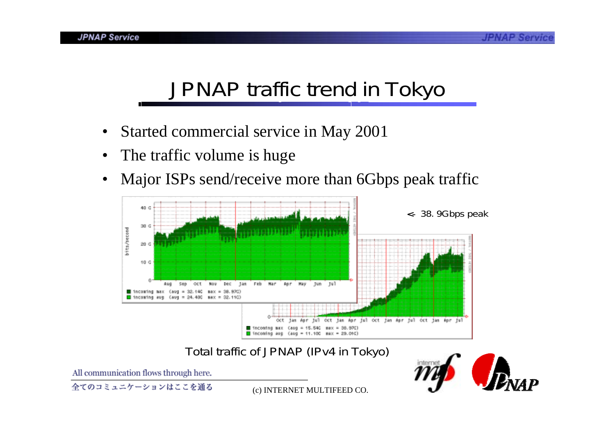### JPNAP traffic trend in Tokyo

- •Started commercial service in May 2001
- •The traffic volume is huge
- •Major ISPs send/receive more than 6Gbps peak traffic



#### Total traffic of JPNAP (IPv4 in Tokyo)

All communication flows through here.

全てのコミュニケーションはここを通る

(c) INTERNET MULTIFEED CO.

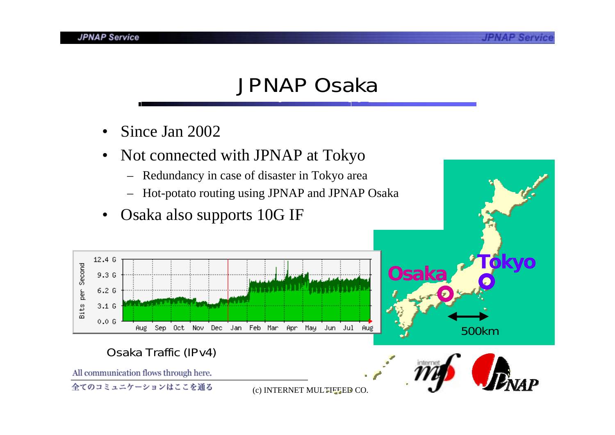### JPNAP Osaka

- •Since Jan 2002
- • Not connected with JPNAP at Tokyo
	- –Redundancy in case of disaster in Tokyo area
	- –Hot-potato routing using JPNAP and JPNAP Osaka
- •Osaka also supports 10G IF



#### Osaka Traffic (IPv4)

All communication flows through here.

全てのコミュニケーションはここを通る

(c) INTERNET MULTIFEED CO.



500km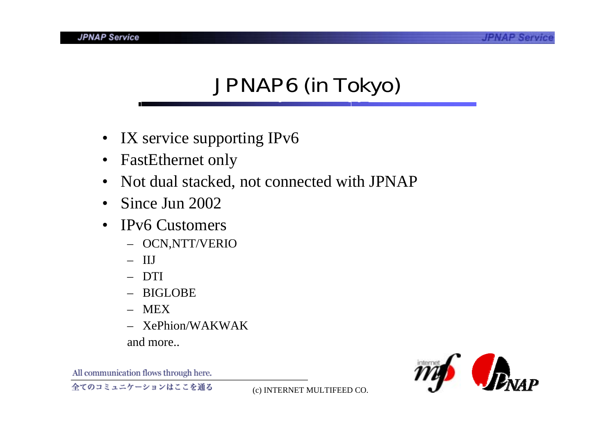# JPNAP6 (in Tokyo)

- $\bullet$ IX service supporting IPv6
- $\bullet$ FastEthernet only
- $\bullet$ Not dual stacked, not connected with JPNAP
- $\bullet$ Since Jun 2002
- $\bullet$  IPv6 Customers
	- OCN,NTT/VERIO
	- IIJ
	- DTI
	- BIGLOBE
	- MEX
	- XePhion/WAKWAK

and more..

All communication flows through here.

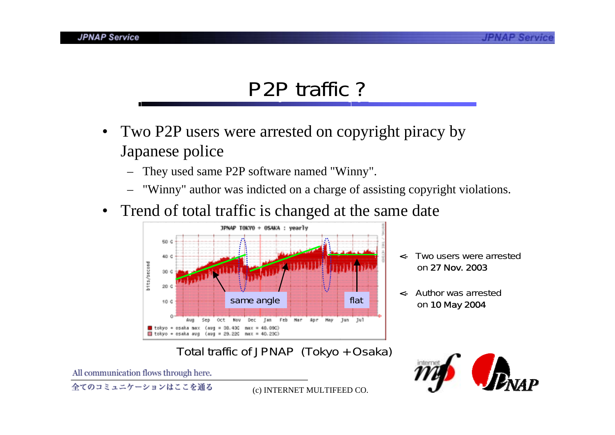### P2P traffic ?

- Two P2P users were arrested on copyright piracy by Japanese police
	- They used same P2P software named "Winny".
	- "Winny" author was indicted on a charge of assisting copyright violations.
- $\bullet$ Trend of total traffic is changed at the same date



- <- Two users were arrestedon 27 Nov. 2003
- <- Author was arrested

Total traffic of JPNAP (Tokyo + Osaka)



All communication flows through here.

全てのコミュニケーションはここを通る

(c) INTERNET MULTIFEED CO.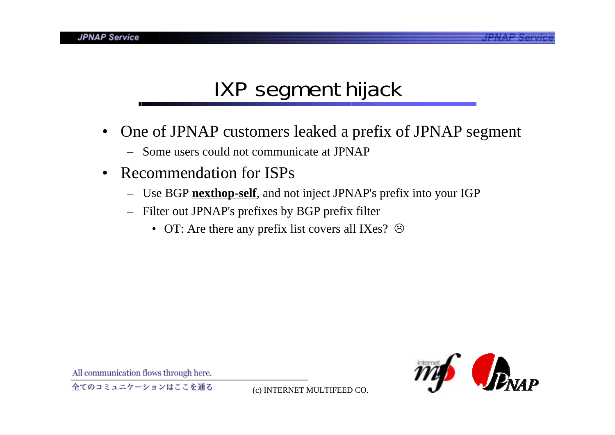# IXP segment hijack

- • One of JPNAP customers leaked a prefix of JPNAP segment
	- Some users could not communicate at JPNAP
- $\bullet$  Recommendation for ISPs
	- –Use BGP **nexthop-self**, and not inject JPNAP's prefix into your IGP
	- – Filter out JPNAP's prefixes by BGP prefix filter
		- OT: Are there any prefix list covers all IXes?  $\odot$



All communication flows through here.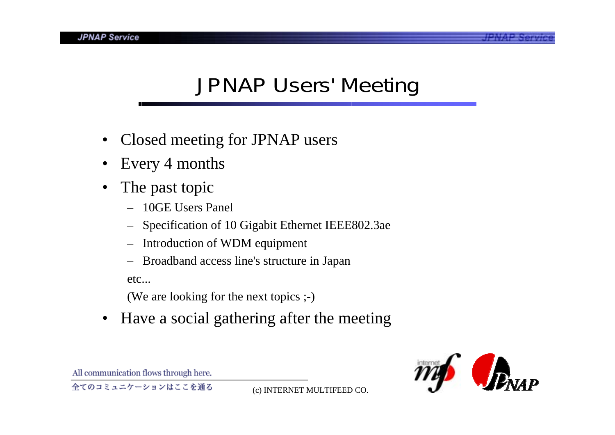# JPNAP Users' Meeting

- •Closed meeting for JPNAP users
- •Every 4 months
- • The past topic
	- 10GE Users Panel
	- Specification of 10 Gigabit Ethernet IEEE802.3ae
	- –Introduction of WDM equipment
	- –Broadband access line's structure in Japan

etc...

(We are looking for the next topics ;-)

 $\bullet$ Have a social gathering after the meeting



All communication flows through here.